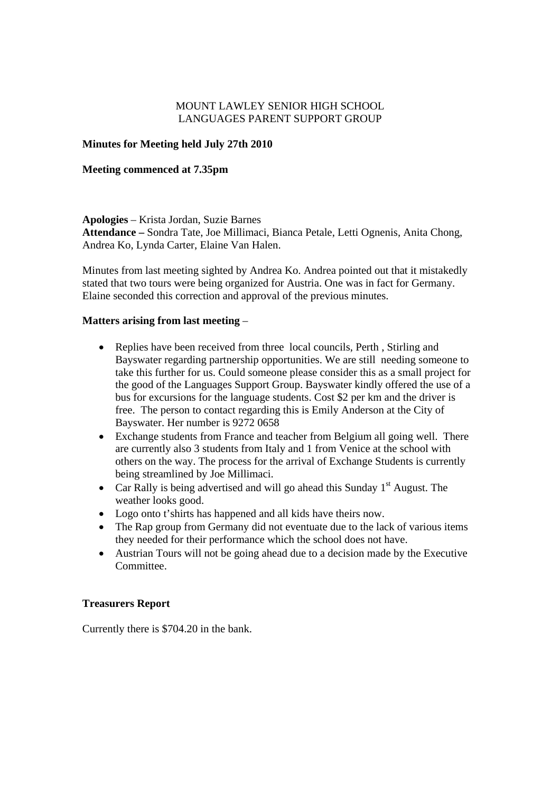# MOUNT LAWLEY SENIOR HIGH SCHOOL LANGUAGES PARENT SUPPORT GROUP

# **Minutes for Meeting held July 27th 2010**

## **Meeting commenced at 7.35pm**

**Apologies** – Krista Jordan, Suzie Barnes **Attendance –** Sondra Tate, Joe Millimaci, Bianca Petale, Letti Ognenis, Anita Chong, Andrea Ko, Lynda Carter, Elaine Van Halen.

Minutes from last meeting sighted by Andrea Ko. Andrea pointed out that it mistakedly stated that two tours were being organized for Austria. One was in fact for Germany. Elaine seconded this correction and approval of the previous minutes.

## **Matters arising from last meeting** –

- Replies have been received from three local councils, Perth, Stirling and Bayswater regarding partnership opportunities. We are still needing someone to take this further for us. Could someone please consider this as a small project for the good of the Languages Support Group. Bayswater kindly offered the use of a bus for excursions for the language students. Cost \$2 per km and the driver is free. The person to contact regarding this is Emily Anderson at the City of Bayswater. Her number is 9272 0658
- Exchange students from France and teacher from Belgium all going well.There are currently also 3 students from Italy and 1 from Venice at the school with others on the way. The process for the arrival of Exchange Students is currently being streamlined by Joe Millimaci.
- Car Rally is being advertised and will go ahead this Sunday  $1<sup>st</sup>$  August. The weather looks good.
- Logo onto t'shirts has happened and all kids have theirs now.
- The Rap group from Germany did not eventuate due to the lack of various items they needed for their performance which the school does not have.
- Austrian Tours will not be going ahead due to a decision made by the Executive Committee.

### **Treasurers Report**

Currently there is \$704.20 in the bank.